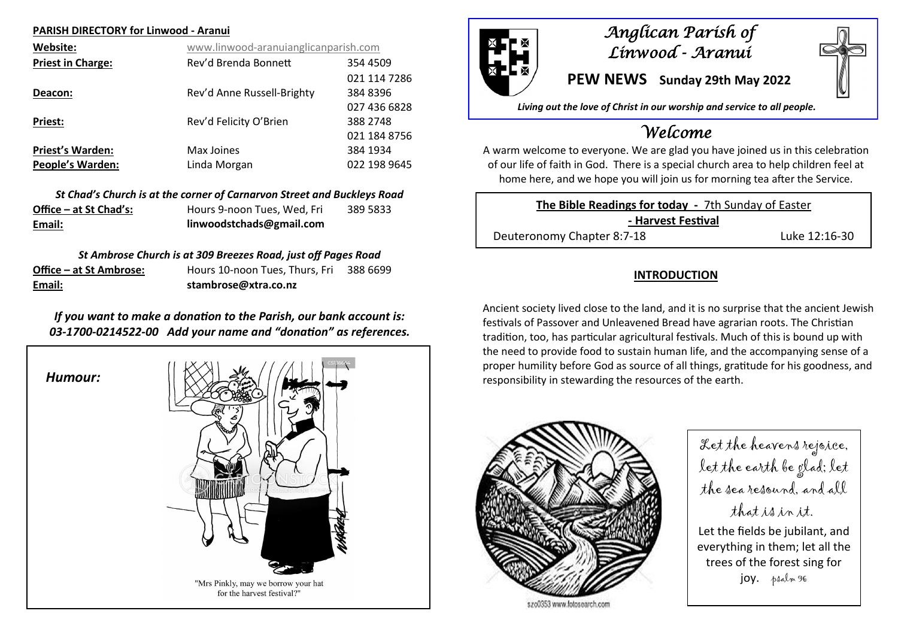### **PARISH DIRECTORY for Linwood - Aranui**

| Website:                 | www.linwood-aranuianglicanparish.com |              |  |
|--------------------------|--------------------------------------|--------------|--|
| <b>Priest in Charge:</b> | Rev'd Brenda Bonnett                 | 354 4509     |  |
|                          |                                      | 021 114 7286 |  |
| Deacon:                  | Rev'd Anne Russell-Brighty           | 384 8396     |  |
|                          |                                      | 027 436 6828 |  |
| <b>Priest:</b>           | Rev'd Felicity O'Brien               | 388 2748     |  |
|                          |                                      | 021 184 8756 |  |
| <b>Priest's Warden:</b>  | Max Joines                           | 384 1934     |  |
| <b>People's Warden:</b>  | Linda Morgan                         | 022 198 9645 |  |

*St Chad's Church is at the corner of Carnarvon Street and Buckleys Road* **Office – at St Chad's:** Hours 9-noon Tues, Wed, Fri 389 5833 **Email: linwoodstchads@gmail.com**

### *St Ambrose Church is at 309 Breezes Road, just off Pages Road*

| Email:                  | stambrose@xtra.co.nz           |          |
|-------------------------|--------------------------------|----------|
| Office – at St Ambrose: | Hours 10-noon Tues, Thurs, Fri | 388 6699 |

## *If you want to make a donation to the Parish, our bank account is: 03-1700-0214522-00 Add your name and "donation" as references.*

*Humour:*





# *Anglican Parish of Linwood - Aranui*

**PEW NEWS Sunday 29th May 2022**

*Living out the love of Christ in our worship and service to all people.*

# *Welcome*

A warm welcome to everyone. We are glad you have joined us in this celebration of our life of faith in God. There is a special church area to help children feel at home here, and we hope you will join us for morning tea after the Service.

**The Bible Readings for today -** 7th Sunday of Easter **- Harvest Festival** Deuteronomy Chapter 8:7-18 Luke 12:16-30

### **INTRODUCTION**

Ancient society lived close to the land, and it is no surprise that the ancient Jewish festivals of Passover and Unleavened Bread have agrarian roots. The Christian tradition, too, has particular agricultural festivals. Much of this is bound up with the need to provide food to sustain human life, and the accompanying sense of a proper humility before God as source of all things, gratitude for his goodness, and responsibility in stewarding the resources of the earth.



szo0353 www.fotosearch.com

Let the heavens rejoice, let the earth be glad; let the sea resound, and all that is in it. Let the fields be jubilant, and everything in them; let all the trees of the forest sing for joy. psalm 96